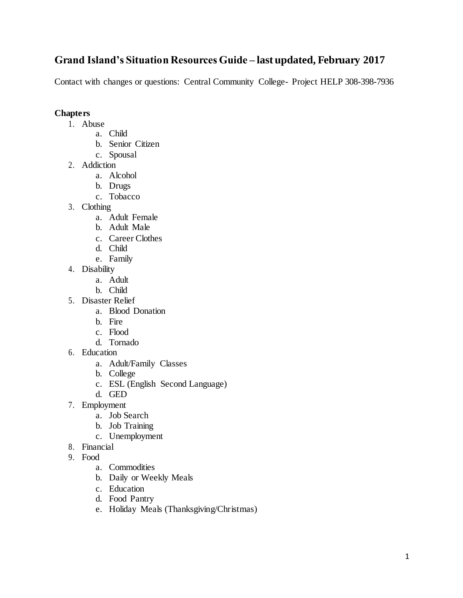# **Grand Island's Situation Resources Guide – last updated, February 2017**

Contact with changes or questions: Central Community College- Project HELP 308-398-7936

# **Chapters**

- 1. Abuse
	- a. Child
	- b. Senior Citizen
	- c. Spousal
- 2. Addiction
	- a. Alcohol
	- b. Drugs
	- c. Tobacco
- 3. Clothing
	- a. Adult Female
	- b. Adult Male
	- c. Career Clothes
	- d. Child
	- e. Family
- 4. Disability
	- a. Adult
	- b. Child
- 5. Disaster Relief
	- a. Blood Donation
	- b. Fire
	- c. Flood
	- d. Tornado
- 6. Education
	- a. Adult/Family Classes
	- b. College
	- c. ESL (English Second Language)
	- d. GED
- 7. Employment
	- a. Job Search
	- b. Job Training
	- c. Unemployment
- 8. Financial
- 9. Food
	- a. Commodities
	- b. Daily or Weekly Meals
	- c. Education
	- d. Food Pantry
	- e. Holiday Meals (Thanksgiving/Christmas)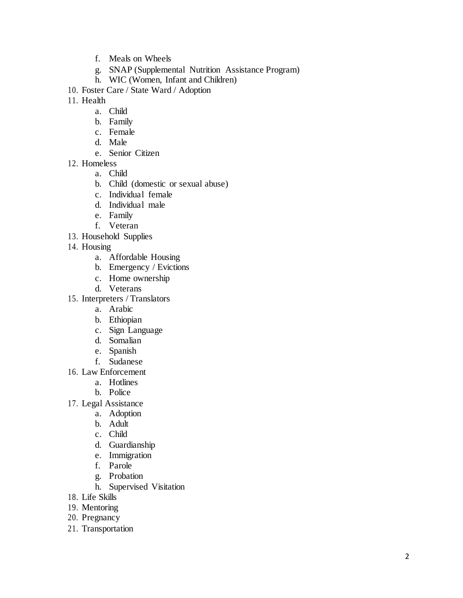- f. Meals on Wheels
- g. SNAP (Supplemental Nutrition Assistance Program)
- h. WIC (Women, Infant and Children)
- 10. Foster Care / State Ward / Adoption
- 11. Health
	- a. Child
	- b. Family
	- c. Female
	- d. Male
	- e. Senior Citizen
- 12. Homeless
	- a. Child
	- b. Child (domestic or sexual abuse)
	- c. Individual female
	- d. Individual male
	- e. Family
	- f. Veteran
- 13. Household Supplies
- 14. Housing
	- a. Affordable Housing
	- b. Emergency / Evictions
	- c. Home ownership
	- d. Veterans
- 15. Interpreters / Translators
	- a. Arabic
	- b. Ethiopian
	- c. Sign Language
	- d. Somalian
	- e. Spanish
	- f. Sudanese
- 16. Law Enforcement
	- a. Hotlines
	- b. Police
- 17. Legal Assistance
	- a. Adoption
	- b. Adult
	- c. Child
	- d. Guardianship
	- e. Immigration
	- f. Parole
	- g. Probation
	- h. Supervised Visitation
- 18. Life Skills
- 19. Mentoring
- 20. Pregnancy
- 21. Transportation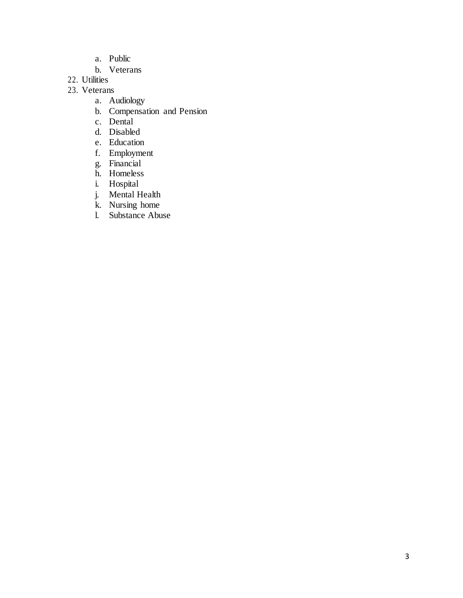- a. Public
- b. Veterans
- 22. Utilities
- 23. Veterans
	- a. Audiology
	- b. Compensation and Pension
	- c. Dental
	- d. Disabled
	- e. Education
	- f. Employment
	- g. Financial
	- h. Homeless
	- i. Hospital
	- j. Mental Health
	- k. Nursing home
	- l. Substance Abuse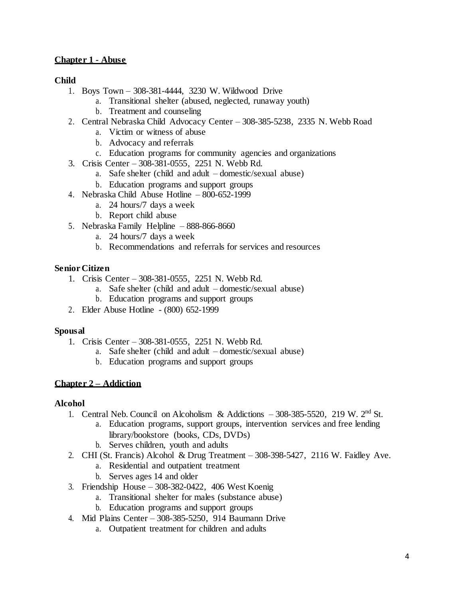# **Chapter 1 - Abuse**

# **Child**

- 1. Boys Town 308-381-4444, 3230 W. Wildwood Drive
	- a. Transitional shelter (abused, neglected, runaway youth)
	- b. Treatment and counseling
- 2. Central Nebraska Child Advocacy Center 308-385-5238, 2335 N. Webb Road
	- a. Victim or witness of abuse
		- b. Advocacy and referrals
		- c. Education programs for community agencies and organizations
- 3. Crisis Center 308-381-0555, 2251 N. Webb Rd.
	- a. Safe shelter (child and adult domestic/sexual abuse)
	- b. Education programs and support groups
- 4. Nebraska Child Abuse Hotline 800-652-1999
	- a. 24 hours/7 days a week
	- b. Report child abuse
- 5. Nebraska Family Helpline 888-866-8660
	- a. 24 hours/7 days a week
	- b. Recommendations and referrals for services and resources

# **Senior Citizen**

- 1. Crisis Center 308-381-0555, 2251 N. Webb Rd.
	- a. Safe shelter (child and adult domestic/sexual abuse)
	- b. Education programs and support groups
- 2. Elder Abuse Hotline (800) 652-1999

#### **Spousal**

- 1. Crisis Center 308-381-0555, 2251 N. Webb Rd.
	- a. Safe shelter (child and adult domestic/sexual abuse)
	- b. Education programs and support groups

# **Chapter 2 – Addiction**

#### **Alcohol**

- 1. Central Neb. Council on Alcoholism & Addictions 308-385-5520, 219 W. 2nd St.
	- a. Education programs, support groups, intervention services and free lending library/bookstore (books, CDs, DVDs)
	- b. Serves children, youth and adults
- 2. CHI (St. Francis) Alcohol & Drug Treatment 308-398-5427, 2116 W. Faidley Ave.
	- a. Residential and outpatient treatment
	- b. Serves ages 14 and older
- 3. Friendship House 308-382-0422, 406 West Koenig
	- a. Transitional shelter for males (substance abuse)
	- b. Education programs and support groups
- 4. Mid Plains Center 308-385-5250, 914 Baumann Drive
	- a. Outpatient treatment for children and adults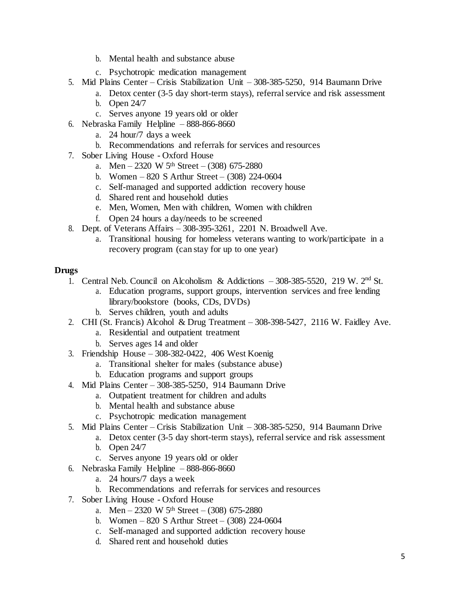- b. Mental health and substance abuse
- c. Psychotropic medication management
- 5. Mid Plains Center Crisis Stabilization Unit 308-385-5250, 914 Baumann Drive
	- a. Detox center (3-5 day short-term stays), referral service and risk assessment b. Open 24/7
	-
	- c. Serves anyone 19 years old or older
- 6. Nebraska Family Helpline 888-866-8660
	- a. 24 hour/7 days a week
	- b. Recommendations and referrals for services and resources
- 7. Sober Living House Oxford House
	- a. Men 2320 W 5<sup>th</sup> Street (308) 675-2880
	- b. Women 820 S Arthur Street  $(308)$  224-0604
	- c. Self-managed and supported addiction recovery house
	- d. Shared rent and household duties
	- e. Men, Women, Men with children, Women with children
	- f. Open 24 hours a day/needs to be screened
- 8. Dept. of Veterans Affairs 308-395-3261, 2201 N. Broadwell Ave.
	- a. Transitional housing for homeless veterans wanting to work/participate in a recovery program (can stay for up to one year)

### **Drugs**

- 1. Central Neb. Council on Alcoholism & Addictions 308-385-5520, 219 W. 2nd St.
	- a. Education programs, support groups, intervention services and free lending library/bookstore (books, CDs, DVDs)
	- b. Serves children, youth and adults
- 2. CHI (St. Francis) Alcohol & Drug Treatment 308-398-5427, 2116 W. Faidley Ave.
	- a. Residential and outpatient treatment
		- b. Serves ages 14 and older
- 3. Friendship House 308-382-0422, 406 West Koenig
	- a. Transitional shelter for males (substance abuse)
	- b. Education programs and support groups
- 4. Mid Plains Center 308-385-5250, 914 Baumann Drive
	- a. Outpatient treatment for children and adults
	- b. Mental health and substance abuse
	- c. Psychotropic medication management
- 5. Mid Plains Center Crisis Stabilization Unit 308-385-5250, 914 Baumann Drive
	- a. Detox center (3-5 day short-term stays), referral service and risk assessment
	- b. Open 24/7
	- c. Serves anyone 19 years old or older
- 6. Nebraska Family Helpline 888-866-8660
	- a. 24 hours/7 days a week
	- b. Recommendations and referrals for services and resources
- 7. Sober Living House Oxford House
	- a. Men 2320 W 5<sup>th</sup> Street (308) 675-2880
	- b. Women 820 S Arthur Street  $(308)$  224-0604
	- c. Self-managed and supported addiction recovery house
	- d. Shared rent and household duties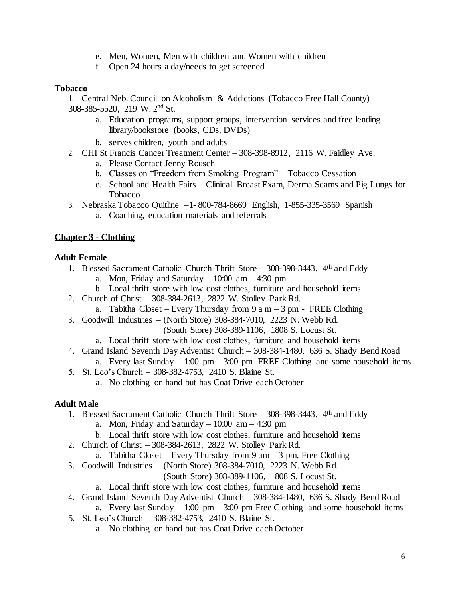- e. Men, Women, Men with children and Women with children
- f. Open 24 hours a day/needs to get screened

### **Tobacco**

1. Central Neb. Council on Alcoholism & Addictions (Tobacco Free Hall County) – 308-385-5520, 219 W. 2nd St.

- a. Education programs, support groups, intervention services and free lending library/bookstore (books, CDs, DVDs)
- b. serves children, youth and adults
- 2. CHI St Francis Cancer Treatment Center 308-398-8912, 2116 W. Faidley Ave.
	- a. Please Contact Jenny Rousch
	- b. Classes on "Freedom from Smoking Program" Tobacco Cessation
	- c. School and Health Fairs Clinical Breast Exam, Derma Scams and Pig Lungs for Tobacco
- 3. Nebraska Tobacco Quitline –1- 800-784-8669 English, 1-855-335-3569 Spanish
	- a. Coaching, education materials and referrals

# **Chapter 3 - Clothing**

# **Adult Female**

- 1. Blessed Sacrament Catholic Church Thrift Store 308-398-3443, 4th and Eddy
	- a. Mon, Friday and Saturday  $-10:00$  am  $-4:30$  pm
	- b. Local thrift store with low cost clothes, furniture and household items
- 2. Church of Christ 308-384-2613, 2822 W. Stolley Park Rd.
- a. Tabitha Closet Every Thursday from  $9a$  m  $3pm$  FREE Clothing
- 3. Goodwill Industries (North Store) 308-384-7010, 2223 N. Webb Rd.
	- (South Store) 308-389-1106, 1808 S. Locust St.
	- a. Local thrift store with low cost clothes, furniture and household items
- 4. Grand Island Seventh Day Adventist Church 308-384-1480, 636 S. Shady Bend Road a. Every last Sunday  $-1:00 \text{ pm} - 3:00 \text{ pm}$  FREE Clothing and some household items
- 5. St. Leo's Church 308-382-4753, 2410 S. Blaine St.
	- a. No clothing on hand but has Coat Drive each October

# **Adult Male**

- 1. Blessed Sacrament Catholic Church Thrift Store 308-398-3443, 4th and Eddy
	- a. Mon, Friday and Saturday  $-10:00$  am  $-4:30$  pm
	- b. Local thrift store with low cost clothes, furniture and household items
- 2. Church of Christ 308-384-2613, 2822 W. Stolley Park Rd.
	- a. Tabitha Closet Every Thursday from  $9 \text{ am} 3 \text{ pm}$ , Free Clothing
- 3. Goodwill Industries (North Store) 308-384-7010, 2223 N. Webb Rd.

(South Store) 308-389-1106, 1808 S. Locust St.

- a. Local thrift store with low cost clothes, furniture and household items
- 4. Grand Island Seventh Day Adventist Church 308-384-1480, 636 S. Shady Bend Road a. Every last Sunday  $-1:00 \text{ pm} - 3:00 \text{ pm}$  Free Clothing and some household items
- 5. St. Leo's Church 308-382-4753, 2410 S. Blaine St.
	- a. No clothing on hand but has Coat Drive each October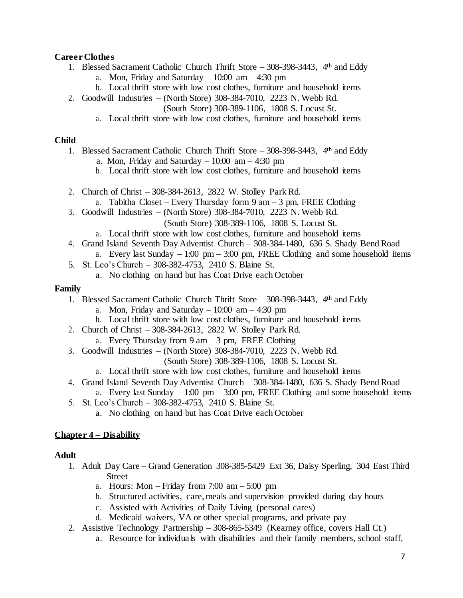### **Career Clothes**

- 1. Blessed Sacrament Catholic Church Thrift Store 308-398-3443, 4th and Eddy
	- a. Mon, Friday and Saturday  $-10:00$  am  $-4:30$  pm
	- b. Local thrift store with low cost clothes, furniture and household items
- 2. Goodwill Industries (North Store) 308-384-7010, 2223 N. Webb Rd.

(South Store) 308-389-1106, 1808 S. Locust St.

a. Local thrift store with low cost clothes, furniture and household items

#### **Child**

- 1. Blessed Sacrament Catholic Church Thrift Store 308-398-3443, 4th and Eddy
	- a. Mon, Friday and Saturday  $-10:00$  am  $-4:30$  pm
	- b. Local thrift store with low cost clothes, furniture and household items
- 2. Church of Christ 308-384-2613, 2822 W. Stolley Park Rd.
	- a. Tabitha Closet Every Thursday form  $9 \text{ am} 3 \text{ pm}$ , FREE Clothing
- 3. Goodwill Industries (North Store) 308-384-7010, 2223 N. Webb Rd.
	- (South Store) 308-389-1106, 1808 S. Locust St.
	- a. Local thrift store with low cost clothes, furniture and household items
- 4. Grand Island Seventh Day Adventist Church 308-384-1480, 636 S. Shady Bend Road
	- a. Every last Sunday  $-1:00 \text{ pm} 3:00 \text{ pm}$ , FREE Clothing and some household items
- 5. St. Leo's Church 308-382-4753, 2410 S. Blaine St.
	- a. No clothing on hand but has Coat Drive each October

#### **Family**

- 1. Blessed Sacrament Catholic Church Thrift Store 308-398-3443, 4th and Eddy
	- a. Mon, Friday and Saturday  $-10:00$  am  $-4:30$  pm
	- b. Local thrift store with low cost clothes, furniture and household items
- 2. Church of Christ 308-384-2613, 2822 W. Stolley Park Rd.
	- a. Every Thursday from  $9 \text{ am} 3 \text{ pm}$ , FREE Clothing
- 3. Goodwill Industries (North Store) 308-384-7010, 2223 N. Webb Rd.
	- (South Store) 308-389-1106, 1808 S. Locust St.
	- a. Local thrift store with low cost clothes, furniture and household items
- 4. Grand Island Seventh Day Adventist Church 308-384-1480, 636 S. Shady Bend Road
	- a. Every last Sunday  $-1:00 \text{ pm} 3:00 \text{ pm}$ , FREE Clothing and some household items
- 5. St. Leo's Church 308-382-4753, 2410 S. Blaine St.
	- a. No clothing on hand but has Coat Drive each October

# **Chapter 4 – Disability**

# **Adult**

- 1. Adult Day Care Grand Generation 308-385-5429 Ext 36, Daisy Sperling, 304 East Third Street
	- a. Hours: Mon Friday from  $7:00 \text{ am} 5:00 \text{ pm}$
	- b. Structured activities, care, meals and supervision provided during day hours
	- c. Assisted with Activities of Daily Living (personal cares)
	- d. Medicaid waivers, VA or other special programs, and private pay
- 2. Assistive Technology Partnership 308-865-5349 (Kearney office, covers Hall Ct.)
	- a. Resource for individuals with disabilities and their family members, school staff,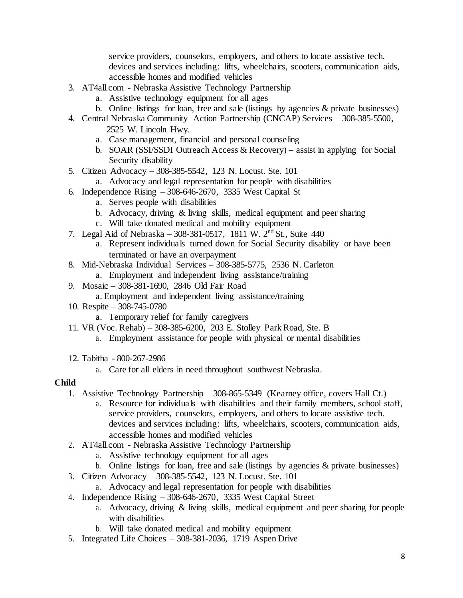service providers, counselors, employers, and others to locate assistive tech. devices and services including: lifts, wheelchairs, scooters, communication aids, accessible homes and modified vehicles

- 3. AT4all.com [Nebraska Assistive Technology](http://www.atp.ne.gov/) Partnership
	- a. [Assistive technology equipment for all](http://www.atp.ne.gov/) ages
	- b. Online listings for loan, free and sale (listings by agencies & private businesses)
- 4. Central Nebraska Community Action Partnership (CNCAP) Services 308-385-5500, 2525 W. Lincoln Hwy.
	- a. Case management, financial and personal counseling
	- b. SOAR (SSI/SSDI Outreach Access & Recovery) assist in applying for Social Security disability
- 5. Citizen Advocacy 308-385-5542, 123 N. Locust. Ste. 101
	- a. Advocacy and legal representation for people with disabilities
- 6. Independence Rising 308-646-2670, 3335 West Capital St
	- a. Serves people with disabilities
	- b. Advocacy, driving & living skills, medical equipment and peer sharing
	- c. Will take donated medical and mobility equipment
- 7. Legal Aid of Nebraska 308-381-0517, 1811 W. 2nd St., Suite 440
	- a. Represent individuals turned down for Social Security disability or have been terminated or have an overpayment
- 8. Mid-Nebraska Individual Services 308-385-5775, 2536 N. Carleton
	- a. Employment and independent living assistance/training
- 9. Mosaic 308-381-1690, 2846 Old Fair Road
	- a. Employment and independent living assistance/training
- 10. Respite 308-745-0780
	- a. Temporary relief for family caregivers
- 11. VR (Voc. Rehab) 308-385-6200, 203 E. Stolley Park Road, Ste. B
	- a. Employment assistance for people with physical or mental disabilities
- 12. Tabitha 800-267-2986
	- a. Care for all elders in need throughout southwest Nebraska.

#### **Child**

- 1. Assistive Technology Partnership 308-865-5349 (Kearney office, covers Hall Ct.)
	- a. Resource for individuals with disabilities and their family members, school staff, service providers, counselors, employers, and others to locate assistive tech. devices and services including: lifts, wheelchairs, scooters, communication aids, accessible homes and modified vehicles
- 2. AT4all.com [Nebraska Assistive Technology](http://www.atp.ne.gov/) Partnership
	- a. [Assistive technology equipment for all](http://www.atp.ne.gov/) ages
	- b. Online listings for loan, free and sale (listings by agencies & private businesses)
- 3. Citizen Advocacy 308-385-5542, 123 N. Locust. Ste. 101
	- a. Advocacy and legal representation for people with disabilities
- 4. Independence Rising 308-646-2670, 3335 West Capital Street
	- a. Advocacy, driving & living skills, medical equipment and peer sharing for people with disabilities
	- b. Will take donated medical and mobility equipment
- 5. Integrated Life Choices 308-381-2036, 1719 Aspen Drive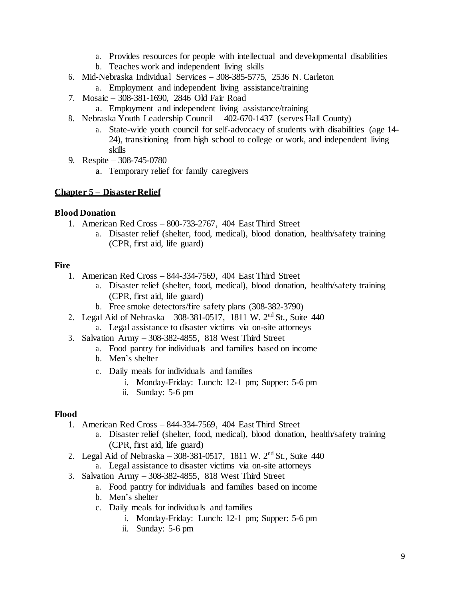- a. Provides resources for people with intellectual and developmental disabilities
- b. Teaches work and independent living skills
- 6. Mid-Nebraska Individual Services 308-385-5775, 2536 N. Carleton
	- a. Employment and independent living assistance/training
- 7. Mosaic 308-381-1690, 2846 Old Fair Road
	- a. Employment and independent living assistance/training
- 8. Nebraska Youth Leadership Council 402-670-1437 (serves Hall County)
	- a. State-wide youth council for self-advocacy of students with disabilities (age 14- 24), transitioning from high school to college or work, and independent living skills
- 9. Respite 308-745-0780
	- a. Temporary relief for family caregivers

#### **Chapter 5 – Disaster Relief**

#### **Blood Donation**

- 1. American Red Cross 800-733-2767, 404 East Third Street
	- a. Disaster relief (shelter, food, medical), blood donation, health/safety training (CPR, first aid, life guard)

### **Fire**

- 1. American Red Cross 844-334-7569, 404 East Third Street
	- a. Disaster relief (shelter, food, medical), blood donation, health/safety training (CPR, first aid, life guard)
	- b. Free smoke detectors/fire safety plans (308-382-3790)
- 2. Legal Aid of Nebraska 308-381-0517, 1811 W. 2nd St., Suite 440
	- a. Legal assistance to disaster victims via on-site attorneys
- 3. Salvation Army 308-382-4855, 818 West Third Street
	- a. Food pantry for individuals and families based on income
	- b. Men's shelter
	- c. Daily meals for individuals and families
		- i. Monday-Friday: Lunch: 12-1 pm; Supper: 5-6 pm
		- ii. Sunday: 5-6 pm

# **Flood**

- 1. American Red Cross 844-334-7569, 404 East Third Street
	- a. Disaster relief (shelter, food, medical), blood donation, health/safety training (CPR, first aid, life guard)
- 2. Legal Aid of Nebraska 308-381-0517, 1811 W. 2nd St., Suite 440
	- a. Legal assistance to disaster victims via on-site attorneys
- 3. Salvation Army 308-382-4855, 818 West Third Street
	- a. Food pantry for individuals and families based on income
	- b. Men's shelter
	- c. Daily meals for individuals and families
		- i. Monday-Friday: Lunch: 12-1 pm; Supper: 5-6 pm
		- ii. Sunday: 5-6 pm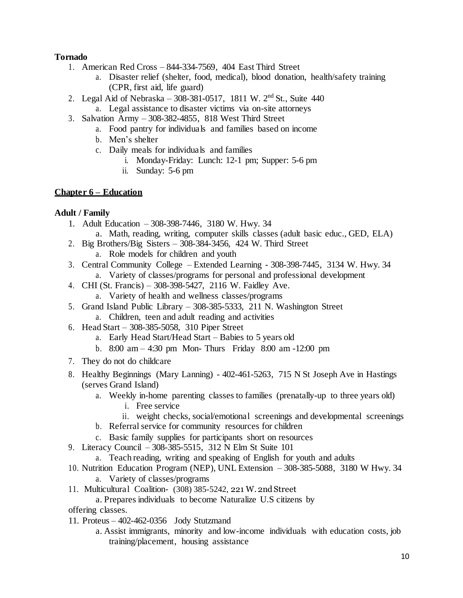# **Tornado**

- 1. American Red Cross 844-334-7569, 404 East Third Street
	- a. Disaster relief (shelter, food, medical), blood donation, health/safety training (CPR, first aid, life guard)
- 2. Legal Aid of Nebraska 308-381-0517, 1811 W.  $2<sup>nd</sup>$  St., Suite 440 a. Legal assistance to disaster victims via on-site attorneys
- 3. Salvation Army 308-382-4855, 818 West Third Street
	- a. Food pantry for individuals and families based on income
	- b. Men's shelter
	- c. Daily meals for individuals and families
		- i. Monday-Friday: Lunch: 12-1 pm; Supper: 5-6 pm
		- ii. Sunday: 5-6 pm

### **Chapter 6 – Education**

# **Adult / Family**

- 1. Adult Education 308-398-7446, 3180 W. Hwy. 34 a. Math, reading, writing, computer skills classes (adult basic educ., GED, ELA)
- 2. Big Brothers/Big Sisters 308-384-3456, 424 W. Third Street
	- a. Role models for children and youth
- 3. Central Community College Extended Learning 308-398-7445, 3134 W. Hwy. 34 a. Variety of classes/programs for personal and professional development
- 4. CHI (St. Francis) 308-398-5427, 2116 W. Faidley Ave. a. Variety of health and wellness classes/programs
- 5. Grand Island Public Library 308-385-5333, 211 N. Washington Street
	- a. Children, teen and adult reading and activities
- 6. Head Start 308-385-5058, 310 Piper Street
	- a. Early Head Start/Head Start Babies to 5 years old
	- b. 8:00 am 4:30 pm Mon- Thurs Friday 8:00 am -12:00 pm
- 7. They do not do childcare
- 8. Healthy Beginnings (Mary Lanning) 402-461-5263, 715 N St Joseph Ave in Hastings (serves Grand Island)
	- a. Weekly in-home parenting classes to families (prenatally-up to three years old)
		- i. Free service
		- ii. weight checks, social/emotional screenings and developmental screenings
	- b. Referral service for community resources for children
	- c. Basic family supplies for participants short on resources
- 9. Literacy Council 308-385-5515, 312 N Elm St Suite 101
	- a. Teach reading, writing and speaking of English for youth and adults
- 10. Nutrition Education Program (NEP), UNL Extension 308-385-5088, 3180 W Hwy. 34
	- a. Variety of classes/programs
- 11. Multicultural Coalition- (308) 385-5242, 221 W. 2nd Street
	- a. Prepares individuals to become Naturalize U.S citizens by
- offering classes.
- 11. Proteus 402-462-0356 Jody Stutzmand
	- a. Assist immigrants, minority and low-income individuals with education costs, job training/placement, housing assistance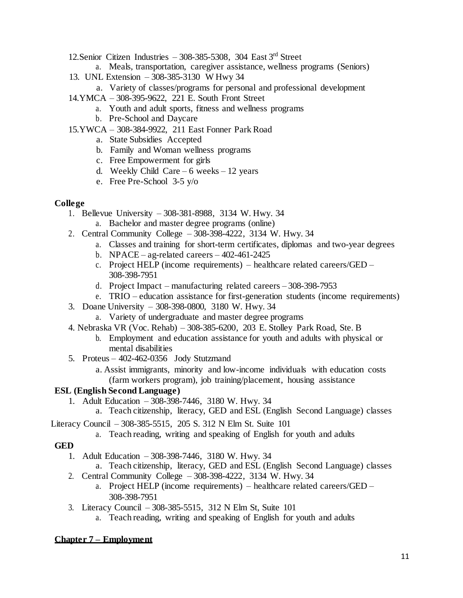- 12. Senior Citizen Industries  $-308-385-5308$ , 304 East 3<sup>rd</sup> Street
	- a. Meals, transportation, caregiver assistance, wellness programs (Seniors)
- 13. UNL Extension 308-385-3130 W Hwy 34
	- a. Variety of classes/programs for personal and professional development
- 14.YMCA 308-395-9622, 221 E. South Front Street
	- a. Youth and adult sports, fitness and wellness programs
	- b. Pre-School and Daycare
- 15.YWCA 308-384-9922, 211 East Fonner Park Road
	- a. State Subsidies Accepted
	- b. Family and Woman wellness programs
	- c. Free Empowerment for girls
	- d. Weekly Child Care 6 weeks 12 years
	- e. Free Pre-School 3-5 y/o

#### **College**

- 1. Bellevue University 308-381-8988, 3134 W. Hwy. 34
	- a. Bachelor and master degree programs (online)
- 2. Central Community College 308-398-4222, 3134 W. Hwy. 34
	- a. Classes and training for short-term certificates, diplomas and two-year degrees
	- b. NPACE ag-related careers  $402-461-2425$
	- c. Project HELP (income requirements) healthcare related careers/GED 308-398-7951
	- d. Project Impact manufacturing related careers 308-398-7953
	- e. TRIO education assistance for first-generation students (income requirements)
- 3. Doane University 308-398-0800, 3180 W. Hwy. 34
	- a. Variety of undergraduate and master degree programs
- 4. Nebraska VR (Voc. Rehab) 308-385-6200, 203 E. Stolley Park Road, Ste. B
	- b. Employment and education assistance for youth and adults with physical or mental disabilities
- 5. Proteus 402-462-0356 Jody Stutzmand
	- a. Assist immigrants, minority and low-income individuals with education costs (farm workers program), job training/placement, housing assistance

#### **ESL (English Second Language)**

- 1. Adult Education 308-398-7446, 3180 W. Hwy. 34
	- a. Teach citizenship, literacy, GED and ESL (English Second Language) classes

Literacy Council – 308-385-5515, 205 S. 312 N Elm St. Suite 101

a. Teach reading, writing and speaking of English for youth and adults

#### **GED**

- 1. Adult Education 308-398-7446, 3180 W. Hwy. 34
	- a. Teach citizenship, literacy, GED and ESL (English Second Language) classes
- 2. Central Community College 308-398-4222, 3134 W. Hwy. 34
	- a. Project HELP (income requirements) healthcare related careers/GED 308-398-7951
- 3. Literacy Council 308-385-5515, 312 N Elm St, Suite 101
	- a. Teach reading, writing and speaking of English for youth and adults

#### **Chapter 7 – Employment**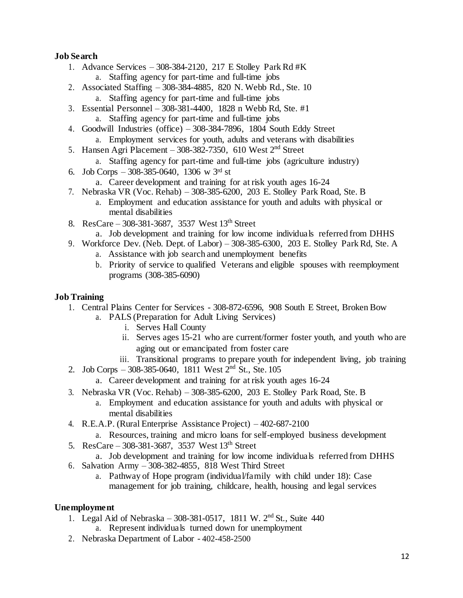# **Job Search**

- 1. Advance Services 308-384-2120, 217 E Stolley Park Rd #K
	- a. Staffing agency for part-time and full-time jobs
- 2. Associated Staffing 308-384-4885, 820 N. Webb Rd., Ste. 10 a. Staffing agency for part-time and full-time jobs
- 3. Essential Personnel 308-381-4400, 1828 n Webb Rd, Ste. #1
	- a. Staffing agency for part-time and full-time jobs
- 4. Goodwill Industries (office) 308-384-7896, 1804 South Eddy Street
	- a. Employment services for youth, adults and veterans with disabilities
- 5. Hansen Agri Placement  $308-382-7350$ , 610 West  $2<sup>nd</sup>$  Street
	- a. Staffing agency for part-time and full-time jobs (agriculture industry)
- 6. Job Corps 308-385-0640, 1306 w 3rd st
	- a. Career development and training for at risk youth ages 16-24
- 7. Nebraska VR (Voc. Rehab) 308-385-6200, 203 E. Stolley Park Road, Ste. B
	- a. Employment and education assistance for youth and adults with physical or mental disabilities
- 8. ResCare 308-381-3687, 3537 West  $13^{th}$  Street
	- a. Job development and training for low income individuals referred from DHHS
- 9. Workforce Dev. (Neb. Dept. of Labor) 308-385-6300, 203 E. Stolley Park Rd, Ste. A
	- a. Assistance with job search and unemployment benefits
	- b. Priority of service to qualified Veterans and eligible spouses with reemployment programs (308-385-6090)

### **Job Training**

- 1. Central Plains Center for Services 308-872-6596, 908 South E Street, Broken Bow
	- a. PALS (Preparation for Adult Living Services)
		- i. Serves Hall County
		- ii. Serves ages 15-21 who are current/former foster youth, and youth who are aging out or emancipated from foster care
	- iii. Transitional programs to prepare youth for independent living, job training
- 2. Job Corps 308-385-0640,  $\overline{1811}$  West  $\overline{2}^{\text{nd}}$  St., Ste. 105
	- a. Career development and training for at risk youth ages 16-24
- 3. Nebraska VR (Voc. Rehab) 308-385-6200, 203 E. Stolley Park Road, Ste. B
	- a. Employment and education assistance for youth and adults with physical or mental disabilities
- 4. R.E.A.P. (Rural Enterprise Assistance Project) 402-687-2100
	- a. Resources, training and micro loans for self-employed business development
- 5. ResCare 308-381-3687, 3537 West  $13^{th}$  Street
	- a. Job development and training for low income individuals referred from DHHS
- 6. Salvation Army 308-382-4855, 818 West Third Street
	- a. Pathway of Hope program (individual/family with child under 18): Case management for job training, childcare, health, housing and legal services

# **Unemployment**

- 1. Legal Aid of Nebraska 308-381-0517, 1811 W. 2nd St., Suite 440
	- a. Represent individuals turned down for unemployment
- 2. Nebraska Department of Labor 402-458-2500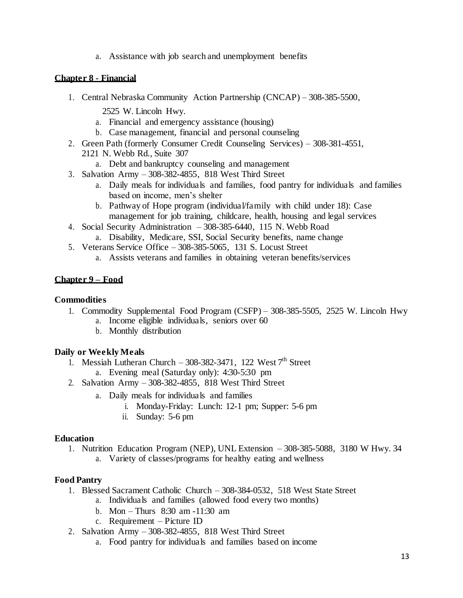a. Assistance with job search and unemployment benefits

### **Chapter 8 - Financial**

- 1. Central Nebraska Community Action Partnership (CNCAP) 308-385-5500,
	- 2525 W. Lincoln Hwy.
	- a. Financial and emergency assistance (housing)
	- b. Case management, financial and personal counseling
- 2. Green Path (formerly Consumer Credit Counseling Services) 308-381-4551, 2121 N. Webb Rd., Suite 307
	- a. Debt and bankruptcy counseling and management
- 3. Salvation Army 308-382-4855, 818 West Third Street
	- a. Daily meals for individuals and families, food pantry for individuals and families based on income, men's shelter
	- b. Pathway of Hope program (individual/family with child under 18): Case management for job training, childcare, health, housing and legal services
- 4. Social Security Administration 308-385-6440, 115 N. Webb Road a. Disability, Medicare, SSI, Social Security benefits, name change
- 5. Veterans Service Office 308-385-5065, 131 S. Locust Street
	- a. Assists veterans and families in obtaining veteran benefits/services

### **Chapter 9 – Food**

#### **Commodities**

- 1. Commodity Supplemental Food Program (CSFP) 308-385-5505, 2525 W. Lincoln Hwy a. Income eligible individuals, seniors over 60
	- b. Monthly distribution

# **Daily or Weekly Meals**

- 1. Messiah Lutheran Church 308-382-3471, 122 West  $7<sup>th</sup>$  Street a. Evening meal (Saturday only): 4:30-5:30 pm
- 2. Salvation Army 308-382-4855, 818 West Third Street
	- a. Daily meals for individuals and families
		- i. Monday-Friday: Lunch: 12-1 pm; Supper: 5-6 pm
		- ii. Sunday: 5-6 pm

#### **Education**

1. Nutrition Education Program (NEP), UNL Extension – 308-385-5088, 3180 W Hwy. 34 a. Variety of classes/programs for healthy eating and wellness

# **Food Pantry**

- 1. Blessed Sacrament Catholic Church 308-384-0532, 518 West State Street
	- a. Individuals and families (allowed food every two months)
	- b. Mon Thurs 8:30 am -11:30 am
	- c. Requirement Picture ID
- 2. Salvation Army 308-382-4855, 818 West Third Street
	- a. Food pantry for individuals and families based on income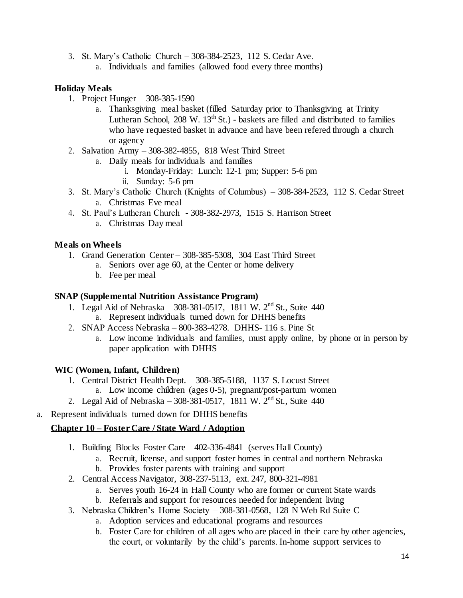- 3. St. Mary's Catholic Church 308-384-2523, 112 S. Cedar Ave.
	- a. Individuals and families (allowed food every three months)

### **Holiday Meals**

- 1. Project Hunger 308-385-1590
	- a. Thanksgiving meal basket (filled Saturday prior to Thanksgiving at Trinity Lutheran School,  $208 \text{ W}$ .  $13^{\text{th}}$  St.) - baskets are filled and distributed to families who have requested basket in advance and have been refered through a church or agency
- 2. Salvation Army 308-382-4855, 818 West Third Street
	- a. Daily meals for individuals and families
		- i. Monday-Friday: Lunch: 12-1 pm; Supper: 5-6 pm
		- ii. Sunday: 5-6 pm
- 3. St. Mary's Catholic Church (Knights of Columbus) 308-384-2523, 112 S. Cedar Street a. Christmas Eve meal
- 4. St. Paul's Lutheran Church 308-382-2973, 1515 S. Harrison Street
	- a. Christmas Day meal

# **Meals on Wheels**

- 1. Grand Generation Center 308-385-5308, 304 East Third Street
	- a. Seniors over age 60, at the Center or home delivery
	- b. Fee per meal

#### **SNAP (Supplemental Nutrition Assistance Program)**

- 1. Legal Aid of Nebraska 308-381-0517, 1811 W. 2nd St., Suite 440
	- a. Represent individuals turned down for DHHS benefits
- 2. SNAP Access Nebraska 800-383-4278. DHHS- 116 s. Pine St
	- a. Low income individuals and families, must apply online, by phone or in person by paper application with DHHS

# **WIC (Women, Infant, Children)**

- 1. Central District Health Dept. 308-385-5188, 1137 S. Locust Street a. Low income children (ages 0-5), pregnant/post-partum women
- 2. Legal Aid of Nebraska  $308-381-0517$ , 1811 W.  $2<sup>nd</sup>$  St., Suite 440
- a. Represent individuals turned down for DHHS benefits

# **Chapter 10 – Foster Care / State Ward / Adoption**

- 1. Building Blocks Foster Care 402-336-4841 (serves Hall County)
	- a. Recruit, license, and support foster homes in central and northern Nebraska
	- b. Provides foster parents with training and support
- 2. Central Access Navigator, 308-237-5113, ext. 247, 800-321-4981
	- a. Serves youth 16-24 in Hall County who are former or current State wards
	- b. Referrals and support for resources needed for independent living
- 3. Nebraska Children's Home Society 308-381-0568, 128 N Web Rd Suite C
	- a. Adoption services and educational programs and resources
	- b. Foster Care for children of all ages who are placed in their care by other agencies, the court, or voluntarily by the child's parents. In-home support services to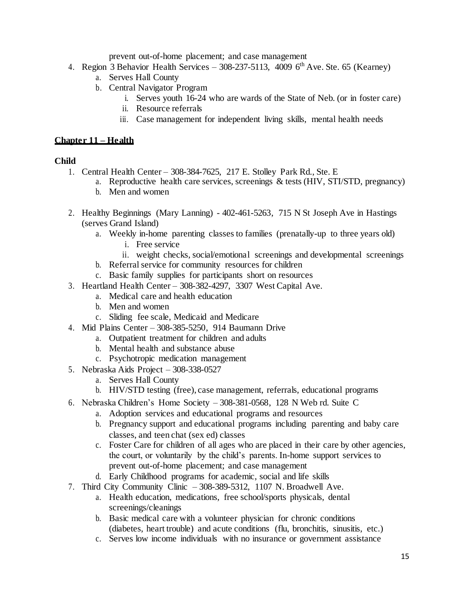prevent out-of-home placement; and case management

- 4. Region 3 Behavior Health Services 308-237-5113, 4009  $6<sup>th</sup>$  Ave. Ste. 65 (Kearney)
	- a. Serves Hall County
	- b. Central Navigator Program
		- i. Serves youth 16-24 who are wards of the State of Neb. (or in foster care)
		- ii. Resource referrals
		- iii. Case management for independent living skills, mental health needs

### **Chapter 11 – Health**

#### **Child**

- 1. Central Health Center 308-384-7625, 217 E. Stolley Park Rd., Ste. E
	- a. Reproductive health care services, screenings & tests (HIV, STI/STD, pregnancy)
	- b. Men and women
- 2. Healthy Beginnings (Mary Lanning) 402-461-5263, 715 N St Joseph Ave in Hastings (serves Grand Island)
	- a. Weekly in-home parenting classes to families (prenatally-up to three years old)
		- i. Free service
		- ii. weight checks, social/emotional screenings and developmental screenings
	- b. Referral service for community resources for children
	- c. Basic family supplies for participants short on resources
- 3. Heartland Health Center 308-382-4297, 3307 West Capital Ave.
	- a. Medical care and health education
	- b. Men and women
	- c. Sliding fee scale, Medicaid and Medicare
- 4. Mid Plains Center 308-385-5250, 914 Baumann Drive
	- a. Outpatient treatment for children and adults
	- b. Mental health and substance abuse
	- c. Psychotropic medication management
- 5. Nebraska Aids Project 308-338-0527
	- a. Serves Hall County
	- b. HIV/STD testing (free), case management, referrals, educational programs
- 6. Nebraska Children's Home Society 308-381-0568, 128 N Web rd. Suite C
	- a. Adoption services and educational programs and resources
	- b. Pregnancy support and educational programs including parenting and baby care classes, and teen chat (sex ed) classes
	- c. Foster Care for children of all ages who are placed in their care by other agencies, the court, or voluntarily by the child's parents. In-home support services to prevent out-of-home placement; and case management
	- d. Early Childhood programs for academic, social and life skills
- 7. Third City Community Clinic 308-389-5312, 1107 N. Broadwell Ave.
	- a. Health education, medications, free school/sports physicals, dental screenings/cleanings
	- b. Basic medical care with a volunteer physician for chronic conditions (diabetes, heart trouble) and acute conditions (flu, bronchitis, sinusitis, etc.)
	- c. Serves low income individuals with no insurance or government assistance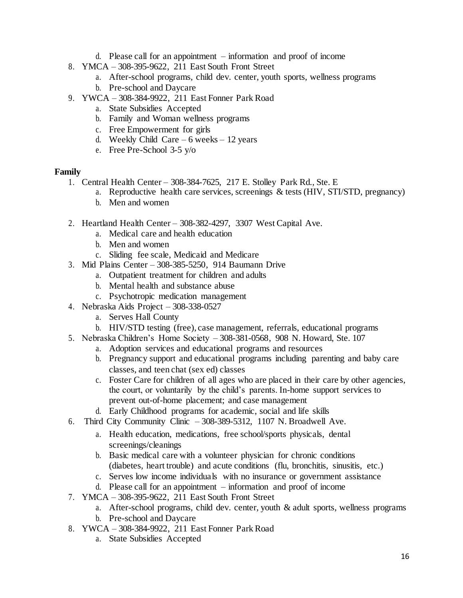- d. Please call for an appointment information and proof of income
- 8. YMCA 308-395-9622, 211 East South Front Street
	- a. After-school programs, child dev. center, youth sports, wellness programs
	- b. Pre-school and Daycare
- 9. YWCA 308-384-9922, 211 East Fonner Park Road
	- a. State Subsidies Accepted
	- b. Family and Woman wellness programs
	- c. Free Empowerment for girls
	- d. Weekly Child Care  $6$  weeks 12 years
	- e. Free Pre-School 3-5 y/o

### **Family**

- 1. Central Health Center 308-384-7625, 217 E. Stolley Park Rd., Ste. E
	- a. Reproductive health care services, screenings & tests (HIV, STI/STD, pregnancy)
	- b. Men and women
- 2. Heartland Health Center 308-382-4297, 3307 West Capital Ave.
	- a. Medical care and health education
	- b. Men and women
	- c. Sliding fee scale, Medicaid and Medicare
- 3. Mid Plains Center 308-385-5250, 914 Baumann Drive
	- a. Outpatient treatment for children and adults
	- b. Mental health and substance abuse
	- c. Psychotropic medication management
- 4. Nebraska Aids Project 308-338-0527
	- a. Serves Hall County
	- b. HIV/STD testing (free), case management, referrals, educational programs
- 5. Nebraska Children's Home Society 308-381-0568, 908 N. Howard, Ste. 107
	- a. Adoption services and educational programs and resources
	- b. Pregnancy support and educational programs including parenting and baby care classes, and teen chat (sex ed) classes
	- c. Foster Care for children of all ages who are placed in their care by other agencies, the court, or voluntarily by the child's parents. In-home support services to prevent out-of-home placement; and case management
	- d. Early Childhood programs for academic, social and life skills
- 6. Third City Community Clinic 308-389-5312, 1107 N. Broadwell Ave.
	- a. Health education, medications, free school/sports physicals, dental screenings/cleanings
	- b. Basic medical care with a volunteer physician for chronic conditions (diabetes, heart trouble) and acute conditions (flu, bronchitis, sinusitis, etc.)
	- c. Serves low income individuals with no insurance or government assistance
	- d. Please call for an appointment information and proof of income
- 7. YMCA 308-395-9622, 211 East South Front Street
	- a. After-school programs, child dev. center, youth & adult sports, wellness programs
	- b. Pre-school and Daycare
- 8. YWCA 308-384-9922, 211 East Fonner Park Road
	- a. State Subsidies Accepted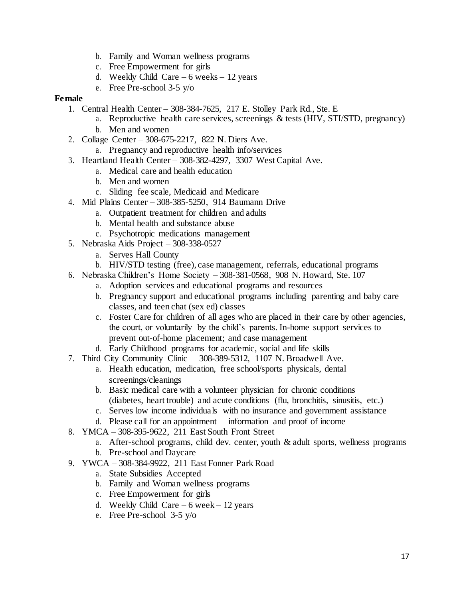- b. Family and Woman wellness programs
- c. Free Empowerment for girls
- d. Weekly Child Care  $6$  weeks 12 years
- e. Free Pre-school 3-5 y/o

#### **Female**

- 1. Central Health Center 308-384-7625, 217 E. Stolley Park Rd., Ste. E
	- a. Reproductive health care services, screenings & tests (HIV, STI/STD, pregnancy)
		- b. Men and women
- 2. Collage Center 308-675-2217, 822 N. Diers Ave.
	- a. Pregnancy and reproductive health info/services
- 3. Heartland Health Center 308-382-4297, 3307 West Capital Ave.
	- a. Medical care and health education
		- b. Men and women
		- c. Sliding fee scale, Medicaid and Medicare
- 4. Mid Plains Center 308-385-5250, 914 Baumann Drive
	- a. Outpatient treatment for children and adults
	- b. Mental health and substance abuse
	- c. Psychotropic medications management
- 5. Nebraska Aids Project 308-338-0527
	- a. Serves Hall County
	- b. HIV/STD testing (free), case management, referrals, educational programs
- 6. Nebraska Children's Home Society 308-381-0568, 908 N. Howard, Ste. 107
	- a. Adoption services and educational programs and resources
	- b. Pregnancy support and educational programs including parenting and baby care classes, and teen chat (sex ed) classes
	- c. Foster Care for children of all ages who are placed in their care by other agencies, the court, or voluntarily by the child's parents. In-home support services to prevent out-of-home placement; and case management
	- d. Early Childhood programs for academic, social and life skills
- 7. Third City Community Clinic 308-389-5312, 1107 N. Broadwell Ave.
	- a. Health education, medication, free school/sports physicals, dental screenings/cleanings
	- b. Basic medical care with a volunteer physician for chronic conditions (diabetes, heart trouble) and acute conditions (flu, bronchitis, sinusitis, etc.)
	- c. Serves low income individuals with no insurance and government assistance
	- d. Please call for an appointment information and proof of income
- 8. YMCA 308-395-9622, 211 East South Front Street
	- a. After-school programs, child dev. center, youth & adult sports, wellness programs
	- b. Pre-school and Daycare
- 9. YWCA 308-384-9922, 211 East Fonner Park Road
	- a. State Subsidies Accepted
	- b. Family and Woman wellness programs
	- c. Free Empowerment for girls
	- d. Weekly Child Care  $6$  week 12 years
	- e. Free Pre-school 3-5 y/o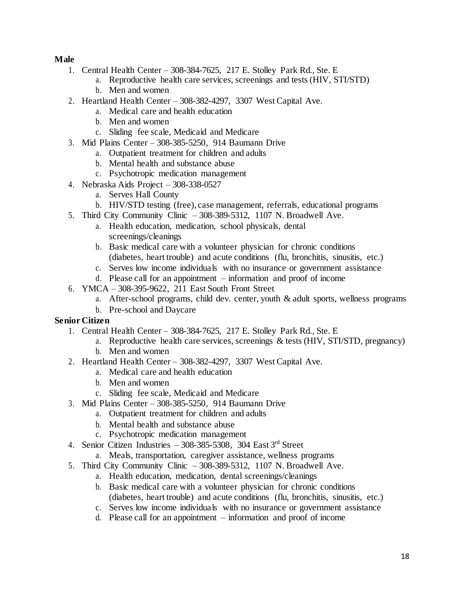# **Male**

- 1. Central Health Center 308-384-7625, 217 E. Stolley Park Rd., Ste. E
	- a. Reproductive health care services, screenings and tests (HIV, STI/STD)
	- b. Men and women
- 2. Heartland Health Center 308-382-4297, 3307 West Capital Ave.
	- a. Medical care and health education
	- b. Men and women
	- c. Sliding fee scale, Medicaid and Medicare
- 3. Mid Plains Center 308-385-5250, 914 Baumann Drive
	- a. Outpatient treatment for children and adults
	- b. Mental health and substance abuse
	- c. Psychotropic medication management
- 4. Nebraska Aids Project 308-338-0527
	- a. Serves Hall County
	- b. HIV/STD testing (free), case management, referrals, educational programs
- 5. Third City Community Clinic 308-389-5312, 1107 N. Broadwell Ave.
	- a. Health education, medication, school physicals, dental screenings/cleanings
	- b. Basic medical care with a volunteer physician for chronic conditions (diabetes, heart trouble) and acute conditions (flu, bronchitis, sinusitis, etc.)
	- c. Serves low income individuals with no insurance or government assistance
	- d. Please call for an appointment information and proof of income
- 6. YMCA 308-395-9622, 211 East South Front Street
	- a. After-school programs, child dev. center, youth & adult sports, wellness programs
	- b. Pre-school and Daycare

#### **Senior Citizen**

- 1. Central Health Center 308-384-7625, 217 E. Stolley Park Rd., Ste. E
	- a. Reproductive health care services, screenings & tests (HIV, STI/STD, pregnancy) b. Men and women
- 2. Heartland Health Center 308-382-4297, 3307 West Capital Ave.
	- a. Medical care and health education
	- b. Men and women
	- c. Sliding fee scale, Medicaid and Medicare
- 3. Mid Plains Center 308-385-5250, 914 Baumann Drive
	- a. Outpatient treatment for children and adults
	- b. Mental health and substance abuse
	- c. Psychotropic medication management
- 4. Senior Citizen Industries  $-308-385-5308$ , 304 East 3rd Street
	- a. Meals, transportation, caregiver assistance, wellness programs
- 5. Third City Community Clinic 308-389-5312, 1107 N. Broadwell Ave.
	- a. Health education, medication, dental screenings/cleanings
	- b. Basic medical care with a volunteer physician for chronic conditions (diabetes, heart trouble) and acute conditions (flu, bronchitis, sinusitis, etc.)
	- c. Serves low income individuals with no insurance or government assistance
	- d. Please call for an appointment information and proof of income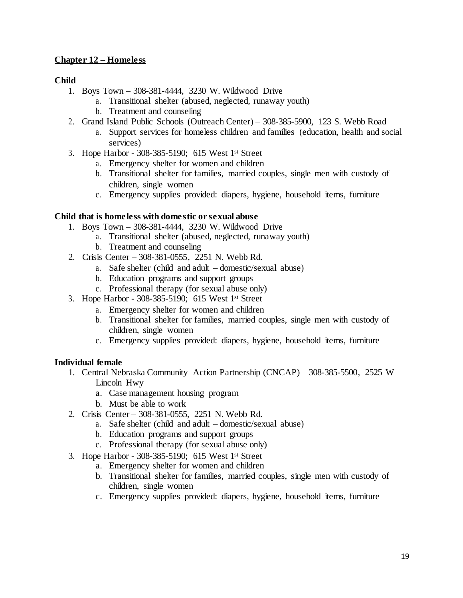# **Chapter 12 – Homeless**

# **Child**

- 1. Boys Town 308-381-4444, 3230 W. Wildwood Drive
	- a. Transitional shelter (abused, neglected, runaway youth)
	- b. Treatment and counseling
- 2. Grand Island Public Schools (Outreach Center) 308-385-5900, 123 S. Webb Road
	- a. Support services for homeless children and families (education, health and social services)
- 3. Hope Harbor 308-385-5190; 615 West 1st Street
	- a. Emergency shelter for women and children
	- b. Transitional shelter for families, married couples, single men with custody of children, single women
	- c. Emergency supplies provided: diapers, hygiene, household items, furniture

### **Child that is homeless with domestic or sexual abuse**

- 1. Boys Town 308-381-4444, 3230 W. Wildwood Drive
	- a. Transitional shelter (abused, neglected, runaway youth)
	- b. Treatment and counseling
- 2. Crisis Center 308-381-0555, 2251 N. Webb Rd.
	- a. Safe shelter (child and adult domestic/sexual abuse)
	- b. Education programs and support groups
	- c. Professional therapy (for sexual abuse only)
- 3. Hope Harbor 308-385-5190; 615 West 1st Street
	- a. Emergency shelter for women and children
	- b. Transitional shelter for families, married couples, single men with custody of children, single women
	- c. Emergency supplies provided: diapers, hygiene, household items, furniture

# **Individual female**

- 1. Central Nebraska Community Action Partnership (CNCAP) 308-385-5500, 2525 W Lincoln Hwy
	- a. Case management housing program
	- b. Must be able to work
- 2. Crisis Center 308-381-0555, 2251 N. Webb Rd.
	- a. Safe shelter (child and adult domestic/sexual abuse)
	- b. Education programs and support groups
	- c. Professional therapy (for sexual abuse only)
- 3. Hope Harbor 308-385-5190; 615 West 1st Street
	- a. Emergency shelter for women and children
	- b. Transitional shelter for families, married couples, single men with custody of children, single women
	- c. Emergency supplies provided: diapers, hygiene, household items, furniture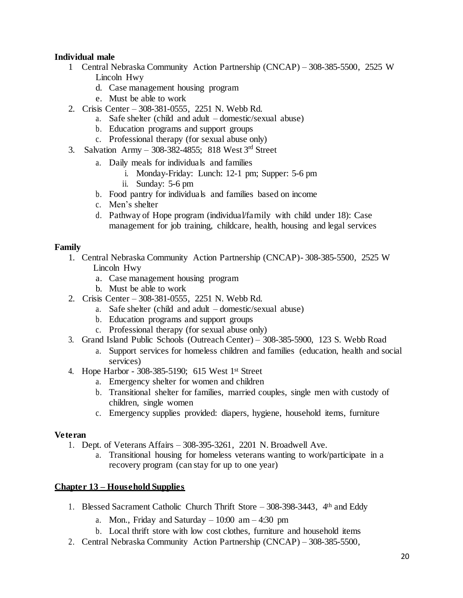# **Individual male**

- 1 Central Nebraska Community Action Partnership (CNCAP) 308-385-5500, 2525 W Lincoln Hwy
	- d. Case management housing program
	- e. Must be able to work
- 2. Crisis Center 308-381-0555, 2251 N. Webb Rd.
	- a. Safe shelter (child and adult domestic/sexual abuse)
	- b. Education programs and support groups
	- c. Professional therapy (for sexual abuse only)
- 3. Salvation Army 308-382-4855; 818 West  $3<sup>rd</sup>$  Street
	- a. Daily meals for individuals and families
		- i. Monday-Friday: Lunch: 12-1 pm; Supper: 5-6 pm
		- ii. Sunday: 5-6 pm
	- b. Food pantry for individuals and families based on income
	- c. Men's shelter
	- d. Pathway of Hope program (individual/family with child under 18): Case management for job training, childcare, health, housing and legal services

#### **Family**

- 1. Central Nebraska Community Action Partnership (CNCAP)- 308-385-5500, 2525 W Lincoln Hwy
	- a. Case management housing program
	- b. Must be able to work
- 2. Crisis Center 308-381-0555, 2251 N. Webb Rd.
	- a. Safe shelter (child and adult domestic/sexual abuse)
	- b. Education programs and support groups
	- c. Professional therapy (for sexual abuse only)
- 3. Grand Island Public Schools (Outreach Center) 308-385-5900, 123 S. Webb Road
	- a. Support services for homeless children and families (education, health and social services)
- 4. Hope Harbor 308-385-5190; 615 West 1st Street
	- a. Emergency shelter for women and children
	- b. Transitional shelter for families, married couples, single men with custody of children, single women
	- c. Emergency supplies provided: diapers, hygiene, household items, furniture

# **Veteran**

- 1. Dept. of Veterans Affairs 308-395-3261, 2201 N. Broadwell Ave.
	- a. Transitional housing for homeless veterans wanting to work/participate in a recovery program (can stay for up to one year)

# **Chapter 13 – Household Supplies**

- 1. Blessed Sacrament Catholic Church Thrift Store 308-398-3443, 4th and Eddy
	- a. Mon., Friday and Saturday  $-10:00$  am  $-4:30$  pm
	- b. Local thrift store with low cost clothes, furniture and household items
- 2. Central Nebraska Community Action Partnership (CNCAP) 308-385-5500,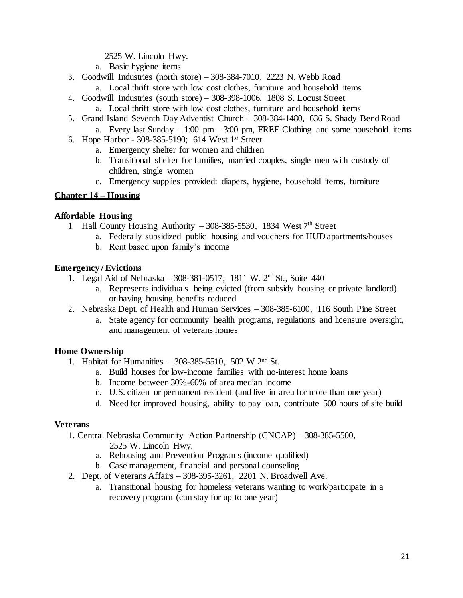2525 W. Lincoln Hwy.

- a. Basic hygiene items
- 3. Goodwill Industries (north store) 308-384-7010, 2223 N. Webb Road
	- a. Local thrift store with low cost clothes, furniture and household items
- 4. Goodwill Industries (south store) 308-398-1006, 1808 S. Locust Street a. Local thrift store with low cost clothes, furniture and household items
- 5. Grand Island Seventh Day Adventist Church 308-384-1480, 636 S. Shady Bend Road
	- a. Every last Sunday  $-1:00 \text{ pm} 3:00 \text{ pm}$ , FREE Clothing and some household items
- 6. Hope Harbor 308-385-5190; 614 West 1st Street
	- a. Emergency shelter for women and children
	- b. Transitional shelter for families, married couples, single men with custody of children, single women
	- c. Emergency supplies provided: diapers, hygiene, household items, furniture

### **Chapter 14 – Housing**

### **Affordable Housing**

- 1. Hall County Housing Authority  $-308-385-5530$ , 1834 West  $7<sup>th</sup>$  Street
	- a. Federally subsidized public housing and vouchers for HUD apartments/houses
	- b. Rent based upon family's income

### **Emergency / Evictions**

- 1. Legal Aid of Nebraska 308-381-0517, 1811 W. 2nd St., Suite 440
	- a. Represents individuals being evicted (from subsidy housing or private landlord) or having housing benefits reduced
- 2. Nebraska Dept. of Health and Human Services 308-385-6100, 116 South Pine Street
	- a. State agency for community health programs, regulations and licensure oversight, and management of veterans homes

# **Home Ownership**

- 1. Habitat for Humanities 308-385-5510, 502 W 2nd St.
	- a. Build houses for low-income families with no-interest home loans
	- b. Income between 30%-60% of area median income
	- c. U.S. citizen or permanent resident (and live in area for more than one year)
	- d. Need for improved housing, ability to pay loan, contribute 500 hours of site build

#### **Veterans**

- 1. Central Nebraska Community Action Partnership (CNCAP) 308-385-5500,
	- 2525 W. Lincoln Hwy.
	- a. Rehousing and Prevention Programs (income qualified)
	- b. Case management, financial and personal counseling
- 2. Dept. of Veterans Affairs 308-395-3261, 2201 N. Broadwell Ave.
	- a. Transitional housing for homeless veterans wanting to work/participate in a recovery program (can stay for up to one year)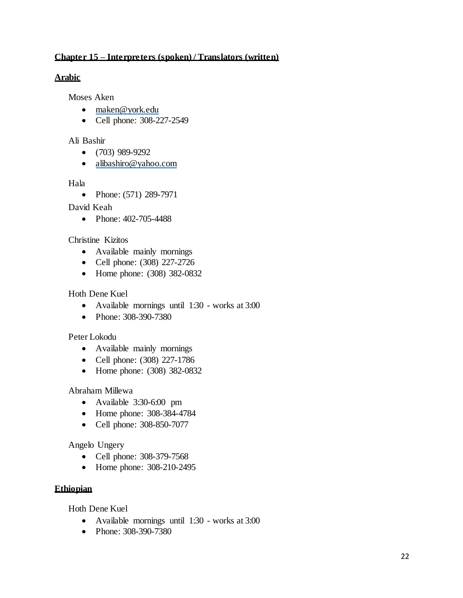# **Chapter 15 – Interpreters (spoken) / Translators (written)**

### **Arabic**

Moses Aken

- [maken@york.edu](mailto:maken@york.edu)
- Cell phone: 308-227-2549

#### Ali Bashir

- $(703)$  989-9292
- [alibashiro@yahoo.com](mailto:alibashiro@yahoo.com)

### Hala

• Phone: (571) 289-7971

### David Keah

• Phone: 402-705-4488

### Christine Kizitos

- Available mainly mornings
- Cell phone: (308) 227-2726
- Home phone: (308) 382-0832

### Hoth Dene Kuel

- Available mornings until 1:30 works at 3:00
- Phone: 308-390-7380

#### Peter Lokodu

- Available mainly mornings
- Cell phone: (308) 227-1786
- Home phone: (308) 382-0832

# Abraham Millewa

- Available 3:30-6:00 pm
- Home phone: 308-384-4784
- Cell phone: 308-850-7077

# Angelo Ungery

- Cell phone: 308-379-7568
- Home phone: 308-210-2495

# **Ethiopian**

Hoth Dene Kuel

- Available mornings until 1:30 works at 3:00
- Phone: 308-390-7380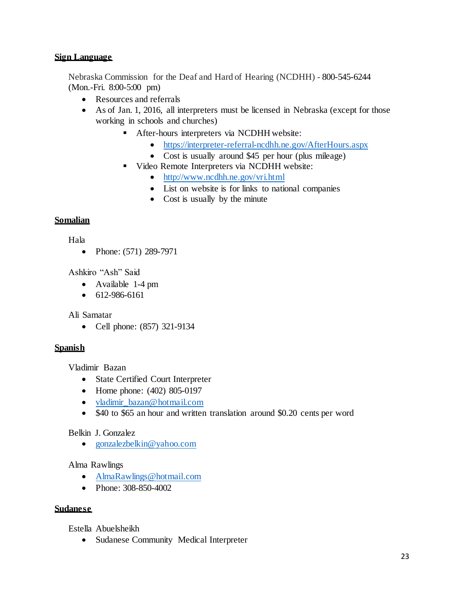#### **Sign Language**

Nebraska Commission for the Deaf and Hard of Hearing (NCDHH) - 800-545-6244 (Mon.-Fri. 8:00-5:00 pm)

- Resources and referrals
- As of Jan. 1, 2016, all interpreters must be licensed in Nebraska (except for those working in schools and churches)
	- After-hours interpreters via NCDHH website:
		- <https://interpreter-referral-ncdhh.ne.gov/AfterHours.aspx>
		- Cost is usually around \$45 per hour (plus mileage)
	- Video Remote Interpreters via NCDHH website:
		- <http://www.ncdhh.ne.gov/vri.html>
		- List on website is for links to national companies
		- Cost is usually by the minute

# **Somalian**

Hala

• Phone: (571) 289-7971

Ashkiro "Ash" Said

- Available 1-4 pm
- $612-986-6161$

Ali Samatar

• Cell phone: (857) 321-9134

# **Spanish**

Vladimir Bazan

- State Certified Court Interpreter
- Home phone: (402) 805-0197
- [vladimir\\_bazan@hotmail.com](mailto:vladimir_bazan@hotmail.com)
- \$40 to \$65 an hour and written translation around \$0.20 cents per word

# Belkin J. Gonzalez

• [gonzalezbelkin@yahoo.com](mailto:gonzalezbelkin@yahoo.com)

# Alma Rawlings

- [AlmaRawlings@hotmail.com](mailto:AlmaRawlings@hotmail.com)
- Phone: 308-850-4002

# **Sudanese**

Estella Abuelsheikh

• Sudanese Community Medical Interpreter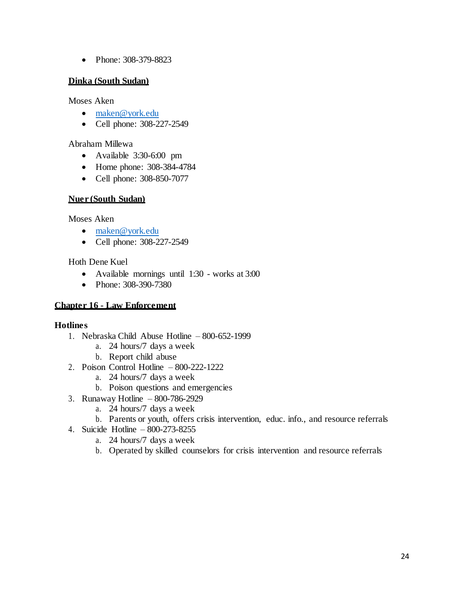• Phone: 308-379-8823

### **Dinka (South Sudan)**

Moses Aken

- [maken@york.edu](mailto:maken@york.edu)
- Cell phone: 308-227-2549

### Abraham Millewa

- Available 3:30-6:00 pm
- Home phone: 308-384-4784
- Cell phone: 308-850-7077

### **Nuer (South Sudan)**

Moses Aken

- [maken@york.edu](mailto:maken@york.edu)
- Cell phone: 308-227-2549

Hoth Dene Kuel

- Available mornings until 1:30 works at 3:00
- Phone: 308-390-7380

# **Chapter 16 - Law Enforcement**

#### **Hotlines**

- 1. Nebraska Child Abuse Hotline 800-652-1999
	- a. 24 hours/7 days a week
		- b. Report child abuse
- 2. Poison Control Hotline 800-222-1222
	- a. 24 hours/7 days a week
	- b. Poison questions and emergencies
- 3. Runaway Hotline 800-786-2929
	- a. 24 hours/7 days a week
	- b. Parents or youth, offers crisis intervention, educ. info., and resource referrals
- 4. Suicide Hotline 800-273-8255
	- a. 24 hours/7 days a week
	- b. Operated by skilled counselors for crisis intervention and resource referrals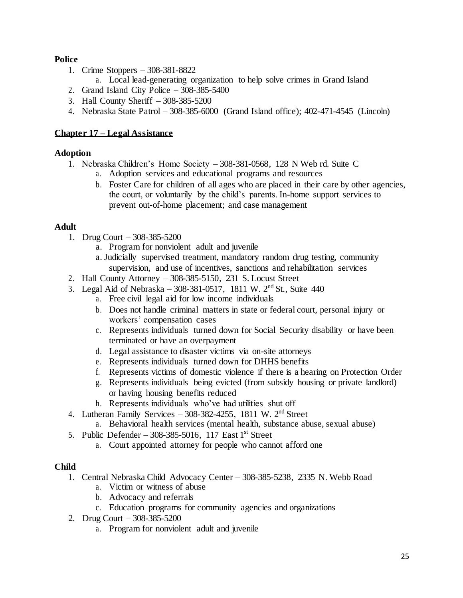# **Police**

- 1. Crime Stoppers 308-381-8822
	- a. Local lead-generating organization to help solve crimes in Grand Island
- 2. Grand Island City Police 308-385-5400
- 3. Hall County Sheriff 308-385-5200
- 4. Nebraska State Patrol 308-385-6000 (Grand Island office); 402-471-4545 (Lincoln)

# **Chapter 17 – Legal Assistance**

# **Adoption**

- 1. Nebraska Children's Home Society 308-381-0568, 128 N Web rd. Suite C
	- a. Adoption services and educational programs and resources
	- b. Foster Care for children of all ages who are placed in their care by other agencies, the court, or voluntarily by the child's parents. In-home support services to prevent out-of-home placement; and case management

# **Adult**

- 1. Drug Court 308-385-5200
	- a. Program for nonviolent adult and juvenile
	- a. Judicially supervised treatment, mandatory random drug testing, community supervision, and use of incentives, sanctions and rehabilitation services
- 2. Hall County Attorney 308-385-5150, 231 S. Locust Street
- 3. Legal Aid of Nebraska 308-381-0517, 1811 W.  $2<sup>nd</sup>$  St., Suite 440
	- a. Free civil legal aid for low income individuals
	- b. Does not handle criminal matters in state or federal court, personal injury or workers' compensation cases
	- c. Represents individuals turned down for Social Security disability or have been terminated or have an overpayment
	- d. Legal assistance to disaster victims via on-site attorneys
	- e. Represents individuals turned down for DHHS benefits
	- f. Represents victims of domestic violence if there is a hearing on Protection Order
	- g. Represents individuals being evicted (from subsidy housing or private landlord) or having housing benefits reduced
	- h. Represents individuals who've had utilities shut off
- 4. Lutheran Family Services  $-308-382-4255$ , 1811 W.  $2<sup>nd</sup>$  Street
	- a. Behavioral health services (mental health, substance abuse, sexual abuse)
- 5. Public Defender 308-385-5016, 117 East  $1<sup>st</sup>$  Street
	- a. Court appointed attorney for people who cannot afford one

# **Child**

- 1. Central Nebraska Child Advocacy Center 308-385-5238, 2335 N. Webb Road
	- a. Victim or witness of abuse
	- b. Advocacy and referrals
		- c. Education programs for community agencies and organizations
- 2. Drug Court 308-385-5200
	- a. Program for nonviolent adult and juvenile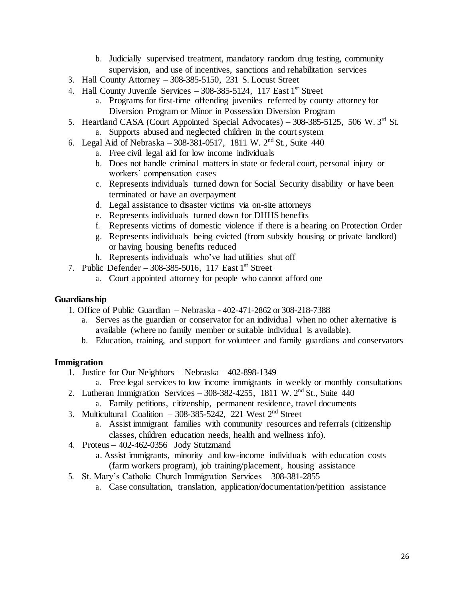- b. Judicially supervised treatment, mandatory random drug testing, community supervision, and use of incentives, sanctions and rehabilitation services
- 3. Hall County Attorney 308-385-5150, 231 S. Locust Street
- 4. Hall County Juvenile Services  $-308-385-5124$ , 117 East 1<sup>st</sup> Street
	- a. Programs for first-time offending juveniles referred by county attorney for Diversion Program or Minor in Possession Diversion Program
- 5. Heartland CASA (Court Appointed Special Advocates) 308-385-5125, 506 W. 3rd St. a. Supports abused and neglected children in the court system
- 6. Legal Aid of Nebraska 308-381-0517, 1811 W.  $2^{nd}$  St., Suite 440
	- a. Free civil legal aid for low income individuals
	- b. Does not handle criminal matters in state or federal court, personal injury or workers' compensation cases
	- c. Represents individuals turned down for Social Security disability or have been terminated or have an overpayment
	- d. Legal assistance to disaster victims via on-site attorneys
	- e. Represents individuals turned down for DHHS benefits
	- f. Represents victims of domestic violence if there is a hearing on Protection Order
	- g. Represents individuals being evicted (from subsidy housing or private landlord) or having housing benefits reduced
	- h. Represents individuals who've had utilities shut off
- 7. Public Defender 308-385-5016, 117 East  $1<sup>st</sup>$  Street
	- a. Court appointed attorney for people who cannot afford one

#### **Guardianship**

- 1. Office of Public Guardian Nebraska 402-471-2862 or 308-218-7388
	- a. Serves as the guardian or conservator for an individual when no other alternative is available (where no family member or suitable individual is available).
	- b. Education, training, and support for volunteer and family guardians and conservators

#### **Immigration**

- 1. Justice for Our Neighbors Nebraska 402-898-1349
	- a. Free legal services to low income immigrants in weekly or monthly consultations
- 2. Lutheran Immigration Services 308-382-4255, 1811 W.  $2<sup>nd</sup>$  St., Suite 440
	- a. Family petitions, citizenship, permanent residence, travel documents
- 3. Multicultural Coalition 308-385-5242, 221 West  $2<sup>nd</sup>$  Street
	- a. Assist immigrant families with community resources and referrals (citizenship classes, children education needs, health and wellness info).
- 4. Proteus 402-462-0356 Jody Stutzmand
	- a. Assist immigrants, minority and low-income individuals with education costs (farm workers program), job training/placement, housing assistance
- 5. St. Mary's Catholic Church Immigration Services 308-381-2855
	- a. Case consultation, translation, application/documentation/petition assistance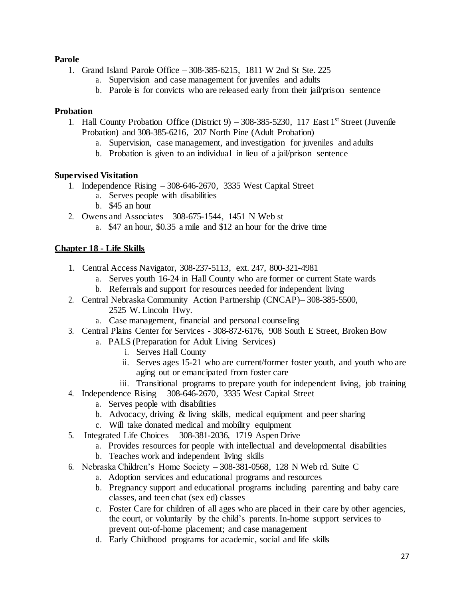# **Parole**

- 1. Grand Island Parole Office 308-385-6215, 1811 W 2nd St Ste. 225
	- a. Supervision and case management for juveniles and adults
	- b. Parole is for convicts who are released early from their jail/prison sentence

#### **Probation**

- 1. Hall County Probation Office (District 9) 308-385-5230, 117 East  $1<sup>st</sup>$  Street (Juvenile Probation) and 308-385-6216, 207 North Pine (Adult Probation)
	- a. Supervision, case management, and investigation for juveniles and adults
	- b. Probation is given to an individual in lieu of a jail/prison sentence

### **Supervised Visitation**

- 1. Independence Rising 308-646-2670, 3335 West Capital Street
	- a. Serves people with disabilities
	- b. \$45 an hour
- 2. Owens and Associates 308-675-1544, 1451 N Web st
	- a. \$47 an hour, \$0.35 a mile and \$12 an hour for the drive time

# **Chapter 18 - Life Skills**

- 1. Central Access Navigator, 308-237-5113, ext. 247, 800-321-4981
	- a. Serves youth 16-24 in Hall County who are former or current State wards
	- b. Referrals and support for resources needed for independent living
- 2. Central Nebraska Community Action Partnership (CNCAP)– 308-385-5500,
	- 2525 W. Lincoln Hwy.
	- a. Case management, financial and personal counseling
- 3. Central Plains Center for Services 308-872-6176, 908 South E Street, Broken Bow
	- a. PALS (Preparation for Adult Living Services)
		- i. Serves Hall County
		- ii. Serves ages 15-21 who are current/former foster youth, and youth who are aging out or emancipated from foster care
		- iii. Transitional programs to prepare youth for independent living, job training
- 4. Independence Rising 308-646-2670, 3335 West Capital Street
	- a. Serves people with disabilities
	- b. Advocacy, driving & living skills, medical equipment and peer sharing
	- c. Will take donated medical and mobility equipment
- 5. Integrated Life Choices 308-381-2036, 1719 Aspen Drive
	- a. Provides resources for people with intellectual and developmental disabilities
		- b. Teaches work and independent living skills
- 6. Nebraska Children's Home Society 308-381-0568, 128 N Web rd. Suite C
	- a. Adoption services and educational programs and resources
	- b. Pregnancy support and educational programs including parenting and baby care classes, and teen chat (sex ed) classes
	- c. Foster Care for children of all ages who are placed in their care by other agencies, the court, or voluntarily by the child's parents. In-home support services to prevent out-of-home placement; and case management
	- d. Early Childhood programs for academic, social and life skills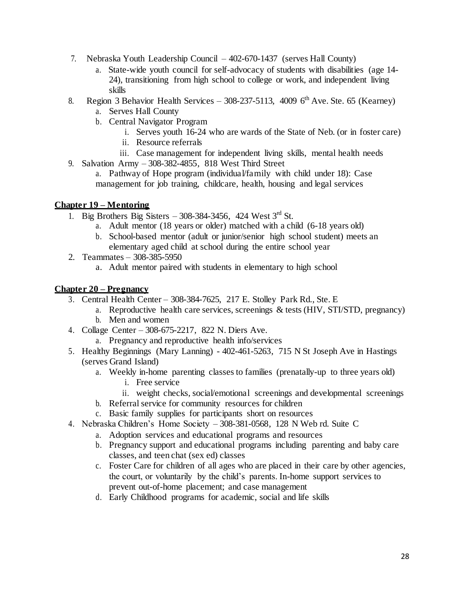- 7. Nebraska Youth Leadership Council 402-670-1437 (serves Hall County)
	- a. State-wide youth council for self-advocacy of students with disabilities (age 14- 24), transitioning from high school to college or work, and independent living skills
- 8. Region 3 Behavior Health Services 308-237-5113, 4009  $6<sup>th</sup>$  Ave. Ste. 65 (Kearney)
	- a. Serves Hall County
	- b. Central Navigator Program
		- i. Serves youth 16-24 who are wards of the State of Neb. (or in foster care)
		- ii. Resource referrals
		- iii. Case management for independent living skills, mental health needs
- 9. Salvation Army 308-382-4855, 818 West Third Street

a. Pathway of Hope program (individual/family with child under 18): Case management for job training, childcare, health, housing and legal services

# **Chapter 19 – Mentoring**

- 1. Big Brothers Big Sisters 308-384-3456, 424 West  $3<sup>rd</sup>$  St.
	- a. Adult mentor (18 years or older) matched with a child (6-18 years old)
	- b. School-based mentor (adult or junior/senior high school student) meets an elementary aged child at school during the entire school year
- 2. Teammates 308-385-5950
	- a. Adult mentor paired with students in elementary to high school

### **Chapter 20 – Pregnancy**

- 3. Central Health Center 308-384-7625, 217 E. Stolley Park Rd., Ste. E
	- a. Reproductive health care services, screenings & tests (HIV, STI/STD, pregnancy)
	- b. Men and women
- 4. Collage Center 308-675-2217, 822 N. Diers Ave.
	- a. Pregnancy and reproductive health info/services
- 5. Healthy Beginnings (Mary Lanning) 402-461-5263, 715 N St Joseph Ave in Hastings (serves Grand Island)
	- a. Weekly in-home parenting classes to families (prenatally-up to three years old)
		- i. Free service
		- ii. weight checks, social/emotional screenings and developmental screenings
	- b. Referral service for community resources for children
	- c. Basic family supplies for participants short on resources
- 4. Nebraska Children's Home Society 308-381-0568, 128 N Web rd. Suite C
	- a. Adoption services and educational programs and resources
	- b. Pregnancy support and educational programs including parenting and baby care classes, and teen chat (sex ed) classes
	- c. Foster Care for children of all ages who are placed in their care by other agencies, the court, or voluntarily by the child's parents. In-home support services to prevent out-of-home placement; and case management
	- d. Early Childhood programs for academic, social and life skills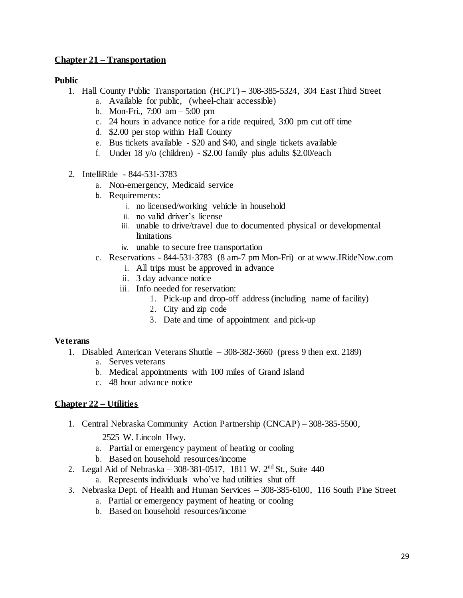# **Chapter 21 – Transportation**

### **Public**

- 1. Hall County Public Transportation (HCPT) 308-385-5324, 304 East Third Street
	- a. Available for public, (wheel-chair accessible)
	- b. Mon-Fri., 7:00 am 5:00 pm
	- c. 24 hours in advance notice for a ride required, 3:00 pm cut off time
	- d. \$2.00 per stop within Hall County
	- e. Bus tickets available \$20 and \$40, and single tickets available
	- f. Under 18 y/o (children) \$2.00 family plus adults \$2.00/each
- 2. IntelliRide 844-531‐3783
	- a. Non-emergency, Medicaid service
	- b. Requirements:
		- i. no licensed/working vehicle in household
		- ii. no valid driver's license
		- iii. unable to drive/travel due to documented physical or developmental limitations
		- iv. unable to secure free transportation
	- c. Reservations 844-531‐3783 (8 am-7 pm Mon-Fri) or at [www.IRideNow.com](http://www.iridenow.com/)
		- i. All trips must be approved in advance
		- ii. 3 day advance notice
		- iii. Info needed for reservation:
			- 1. Pick-up and drop-off address (including name of facility)
			- 2. City and zip code
			- 3. Date and time of appointment and pick-up

# **Veterans**

- 1. Disabled American Veterans Shuttle 308-382-3660 (press 9 then ext. 2189)
	- a. Serves veterans
	- b. Medical appointments with 100 miles of Grand Island
	- c. 48 hour advance notice

# **Chapter 22 – Utilities**

- 1. Central Nebraska Community Action Partnership (CNCAP) 308-385-5500,
	- 2525 W. Lincoln Hwy.
	- a. Partial or emergency payment of heating or cooling
	- b. Based on household resources/income
- 2. Legal Aid of Nebraska 308-381-0517, 1811 W. 2nd St., Suite 440
	- a. Represents individuals who've had utilities shut off
- 3. Nebraska Dept. of Health and Human Services 308-385-6100, 116 South Pine Street
	- a. Partial or emergency payment of heating or cooling
	- b. Based on household resources/income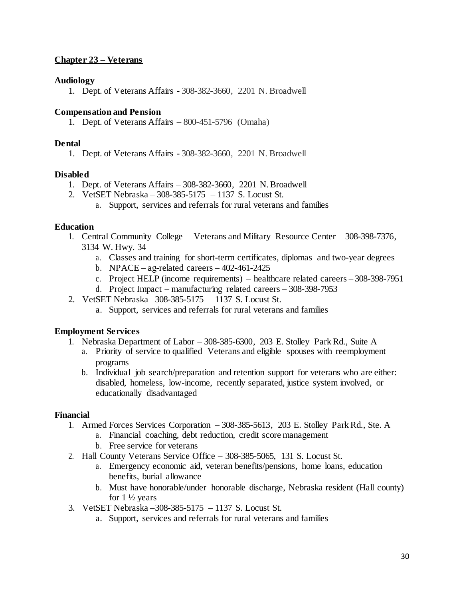# **Chapter 23 – Veterans**

### **Audiology**

1. Dept. of Veterans Affairs - 308-382-3660, 2201 N. Broadwell

### **Compensation and Pension**

1. Dept. of Veterans Affairs – 800-451-5796 (Omaha)

### **Dental**

1. Dept. of Veterans Affairs - 308-382-3660, 2201 N. Broadwell

### **Disabled**

- 1. Dept. of Veterans Affairs 308-382-3660, 2201 N.Broadwell
- 2. VetSET Nebraska 308-385-5175 1137 S. Locust St.
	- a. Support, services and referrals for rural veterans and families

#### **Education**

- 1. Central Community College Veterans and Military Resource Center 308-398-7376, 3134 W. Hwy. 34
	- a. Classes and training for short-term certificates, diplomas and two-year degrees
	- b. NPACE ag-related careers  $402-461-2425$
	- c. Project HELP (income requirements) healthcare related careers 308-398-7951
	- d. Project Impact manufacturing related careers 308-398-7953
- 2. VetSET Nebraska –308-385-5175 1137 S. Locust St.
	- a. Support, services and referrals for rural veterans and families

# **Employment Services**

- 1. Nebraska Department of Labor 308-385-6300, 203 E. Stolley Park Rd., Suite A
	- a. Priority of service to qualified Veterans and eligible spouses with reemployment programs
	- b. Individual job search/preparation and retention support for veterans who are either: disabled, homeless, low-income, recently separated, justice system involved, or educationally disadvantaged

# **Financial**

- 1. Armed Forces Services Corporation 308-385-5613, 203 E. Stolley Park Rd., Ste. A
	- a. Financial coaching, debt reduction, credit score management
	- b. Free service for veterans
- 2. Hall County Veterans Service Office 308-385-5065, 131 S. Locust St.
	- a. Emergency economic aid, veteran benefits/pensions, home loans, education benefits, burial allowance
	- b. Must have honorable/under honorable discharge, Nebraska resident (Hall county) for  $1\frac{1}{2}$  years
- 3. VetSET Nebraska –308-385-5175 1137 S. Locust St.
	- a. Support, services and referrals for rural veterans and families